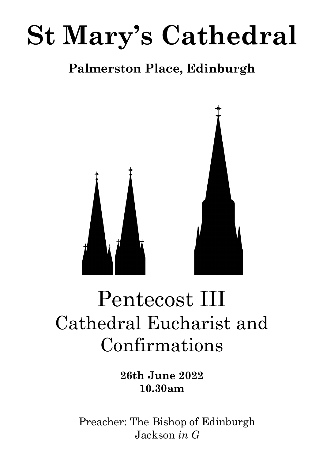# **St Mary's Cathedral**

## **Palmerston Place, Edinburgh**



# Pentecost III Cathedral Eucharist and Confirmations

**26th June 2022 10.30am**

Preacher: The Bishop of Edinburgh Jackson *in G*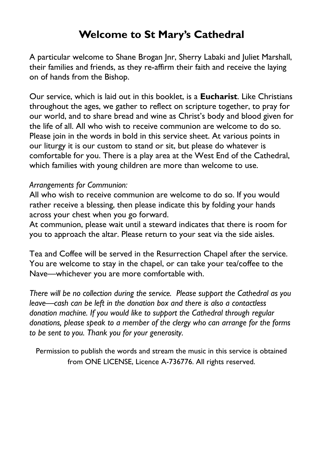### **Welcome to St Mary's Cathedral**

A particular welcome to Shane Brogan Jnr, Sherry Labaki and Juliet Marshall, their families and friends, as they re-affirm their faith and receive the laying on of hands from the Bishop.

Our service, which is laid out in this booklet, is a **Eucharist**. Like Christians throughout the ages, we gather to reflect on scripture together, to pray for our world, and to share bread and wine as Christ's body and blood given for the life of all. All who wish to receive communion are welcome to do so. Please join in the words in bold in this service sheet. At various points in our liturgy it is our custom to stand or sit, but please do whatever is comfortable for you. There is a play area at the West End of the Cathedral, which families with young children are more than welcome to use.

#### *Arrangements for Communion:*

All who wish to receive communion are welcome to do so. If you would rather receive a blessing, then please indicate this by folding your hands across your chest when you go forward.

At communion, please wait until a steward indicates that there is room for you to approach the altar. Please return to your seat via the side aisles.

Tea and Coffee will be served in the Resurrection Chapel after the service. You are welcome to stay in the chapel, or can take your tea/coffee to the Nave—whichever you are more comfortable with.

*There will be no collection during the service. Please support the Cathedral as you leave—cash can be left in the donation box and there is also a contactless donation machine. If you would like to support the Cathedral through regular donations, please speak to a member of the clergy who can arrange for the forms to be sent to you. Thank you for your generosity.*

Permission to publish the words and stream the music in this service is obtained from ONE LICENSE, Licence A-736776. All rights reserved.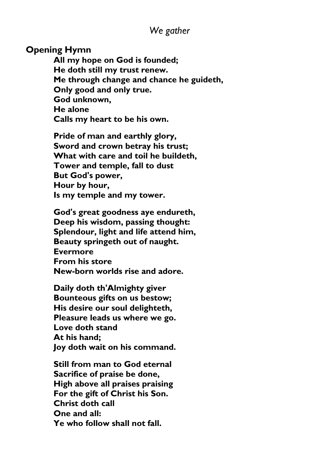**Opening Hymn**

**All my hope on God is founded; He doth still my trust renew. Me through change and chance he guideth, Only good and only true. God unknown, He alone Calls my heart to be his own.**

**Pride of man and earthly glory, Sword and crown betray his trust; What with care and toil he buildeth, Tower and temple, fall to dust But God's power, Hour by hour, Is my temple and my tower.**

**God's great goodness aye endureth, Deep his wisdom, passing thought: Splendour, light and life attend him, Beauty springeth out of naught. Evermore From his store New-born worlds rise and adore.**

**Daily doth th'Almighty giver Bounteous gifts on us bestow; His desire our soul delighteth, Pleasure leads us where we go. Love doth stand At his hand; Joy doth wait on his command.**

**Still from man to God eternal Sacrifice of praise be done, High above all praises praising For the gift of Christ his Son. Christ doth call One and all: Ye who follow shall not fall.**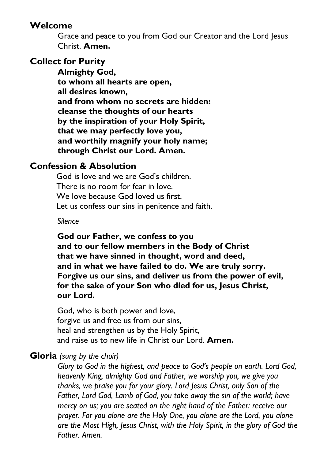#### **Welcome**

Grace and peace to you from God our Creator and the Lord Jesus Christ. **Amen.**

#### **Collect for Purity**

**Almighty God, to whom all hearts are open, all desires known, and from whom no secrets are hidden: cleanse the thoughts of our hearts by the inspiration of your Holy Spirit, that we may perfectly love you, and worthily magnify your holy name; through Christ our Lord. Amen.**

#### **Confession & Absolution**

God is love and we are God's children. There is no room for fear in love. We love because God loved us first. Let us confess our sins in penitence and faith.

*Silence*

**God our Father, we confess to you and to our fellow members in the Body of Christ that we have sinned in thought, word and deed, and in what we have failed to do. We are truly sorry. Forgive us our sins, and deliver us from the power of evil, for the sake of your Son who died for us, Jesus Christ, our Lord.**

God, who is both power and love, forgive us and free us from our sins, heal and strengthen us by the Holy Spirit, and raise us to new life in Christ our Lord. **Amen.**

#### **Gloria** *(sung by the choir)*

*Glory to God in the highest, and peace to God's people on earth. Lord God, heavenly King, almighty God and Father, we worship you, we give you thanks, we praise you for your glory. Lord Jesus Christ, only Son of the Father, Lord God, Lamb of God, you take away the sin of the world; have mercy on us; you are seated on the right hand of the Father: receive our prayer. For you alone are the Holy One, you alone are the Lord, you alone are the Most High, Jesus Christ, with the Holy Spirit, in the glory of God the Father. Amen.*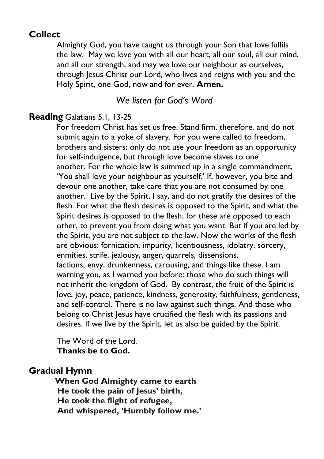#### **Collect**

Almighty God, you have taught us through your Son that love fulfils the law. May we love you with all our heart, all our soul, all our mind, and all our strength, and may we love our neighbour as ourselves, through Jesus Christ our Lord, who lives and reigns with you and the Holy Spirit, one God, now and for ever. **Amen.**

#### *We listen for God's Word*

#### **Reading** Galatians 5.1, 13-25

For freedom Christ has set us free. Stand firm, therefore, and do not submit again to a yoke of slavery. For you were called to freedom, brothers and sisters; only do not use your freedom as an opportunity for self-indulgence, but through love become slaves to one another. For the whole law is summed up in a single commandment, 'You shall love your neighbour as yourself.' If, however, you bite and devour one another, take care that you are not consumed by one another. Live by the Spirit, I say, and do not gratify the desires of the flesh. For what the flesh desires is opposed to the Spirit, and what the Spirit desires is opposed to the flesh; for these are opposed to each other, to prevent you from doing what you want. But if you are led by the Spirit, you are not subject to the law. Now the works of the flesh are obvious: fornication, impurity, licentiousness, idolatry, sorcery, enmities, strife, jealousy, anger, quarrels, dissensions, factions, envy, drunkenness, carousing, and things like these. I am warning you, as I warned you before: those who do such things will not inherit the kingdom of God. By contrast, the fruit of the Spirit is love, joy, peace, patience, kindness, generosity, faithfulness, gentleness, and self-control. There is no law against such things. And those who belong to Christ Jesus have crucified the flesh with its passions and desires. If we live by the Spirit, let us also be guided by the Spirit.

The Word of the Lord. **Thanks be to God.**

#### **Gradual Hymn**

 **When God Almighty came to earth He took the pain of Jesus' birth, He took the flight of refugee, And whispered, 'Humbly follow me.'**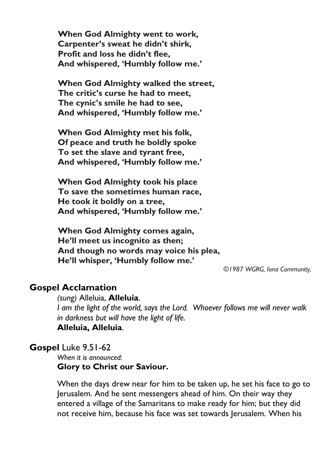**When God Almighty went to work, Carpenter's sweat he didn't shirk, Profit and loss he didn't flee, And whispered, 'Humbly follow me.'**

 **When God Almighty walked the street, The critic's curse he had to meet, The cynic's smile he had to see, And whispered, 'Humbly follow me.'**

 **When God Almighty met his folk, Of peace and truth he boldly spoke To set the slave and tyrant free, And whispered, 'Humbly follow me.'**

 **When God Almighty took his place To save the sometimes human race, He took it boldly on a tree, And whispered, 'Humbly follow me.'**

 **When God Almighty comes again, He'll meet us incognito as then; And though no words may voice his plea, He'll whisper, 'Humbly follow me.'**

*©1987 WGRG, Iona Community,*

#### **Gospel Acclamation**

*(sung)* Alleluia, **Alleluia**.

*I am the light of the world, says the Lord. Whoever follows me will never walk in darkness but will have the light of life.* **Alleluia, Alleluia**.

#### **Gospel** Luke 9.51-62

*When it is announced:*  **Glory to Christ our Saviour.**

When the days drew near for him to be taken up, he set his face to go to Jerusalem. And he sent messengers ahead of him. On their way they entered a village of the Samaritans to make ready for him; but they did not receive him, because his face was set towards Jerusalem. When his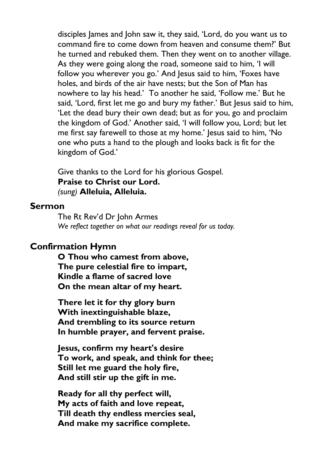disciples James and John saw it, they said, 'Lord, do you want us to command fire to come down from heaven and consume them?' But he turned and rebuked them. Then they went on to another village. As they were going along the road, someone said to him, 'I will follow you wherever you go.' And lesus said to him, 'Foxes have holes, and birds of the air have nests; but the Son of Man has nowhere to lay his head.' To another he said, 'Follow me.' But he said, 'Lord, first let me go and bury my father.' But Jesus said to him, 'Let the dead bury their own dead; but as for you, go and proclaim the kingdom of God.' Another said, 'I will follow you, Lord; but let me first say farewell to those at my home.' Jesus said to him, 'No one who puts a hand to the plough and looks back is fit for the kingdom of God.'

Give thanks to the Lord for his glorious Gospel. **Praise to Christ our Lord.** *(sung)* **Alleluia, Alleluia.** 

#### **Sermon**

The Rt Rev'd Dr John Armes *We reflect together on what our readings reveal for us today.*

#### **Confirmation Hymn**

**O Thou who camest from above, The pure celestial fire to impart, Kindle a flame of sacred love On the mean altar of my heart.**

**There let it for thy glory burn With inextinguishable blaze, And trembling to its source return In humble prayer, and fervent praise.**

**Jesus, confirm my heart's desire To work, and speak, and think for thee; Still let me guard the holy fire, And still stir up the gift in me.**

**Ready for all thy perfect will, My acts of faith and love repeat, Till death thy endless mercies seal, And make my sacrifice complete.**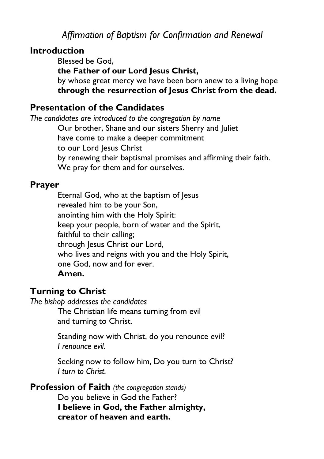*Affirmation of Baptism for Confirmation and Renewal* 

#### **Introduction**

Blessed be God,

**the Father of our Lord Jesus Christ,**

by whose great mercy we have been born anew to a living hope **through the resurrection of Jesus Christ from the dead.**

#### **Presentation of the Candidates**

*The candidates are introduced to the congregation by name* Our brother, Shane and our sisters Sherry and Juliet have come to make a deeper commitment to our Lord Jesus Christ by renewing their baptismal promises and affirming their faith. We pray for them and for ourselves.

#### **Prayer**

Eternal God, who at the baptism of lesus revealed him to be your Son, anointing him with the Holy Spirit: keep your people, born of water and the Spirit, faithful to their calling; through Jesus Christ our Lord, who lives and reigns with you and the Holy Spirit, one God, now and for ever. **Amen.**

#### **Turning to Christ**

*The bishop addresses the candidates*

The Christian life means turning from evil and turning to Christ.

Standing now with Christ, do you renounce evil? *I renounce evil.* 

Seeking now to follow him, Do you turn to Christ? *I turn to Christ.* 

**Profession of Faith** *(the congregation stands)* Do you believe in God the Father? **I believe in God, the Father almighty, creator of heaven and earth.**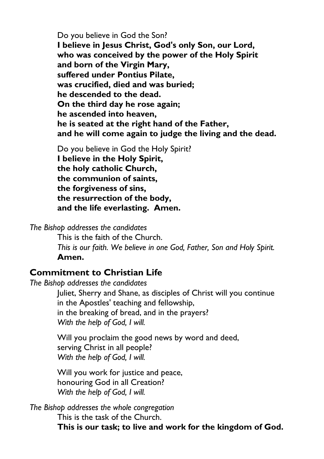Do you believe in God the Son? **I believe in Jesus Christ, God's only Son, our Lord, who was conceived by the power of the Holy Spirit and born of the Virgin Mary, suffered under Pontius Pilate, was crucified, died and was buried; he descended to the dead. On the third day he rose again; he ascended into heaven, he is seated at the right hand of the Father, and he will come again to judge the living and the dead.** 

Do you believe in God the Holy Spirit? **I believe in the Holy Spirit, the holy catholic Church, the communion of saints, the forgiveness of sins, the resurrection of the body, and the life everlasting. Amen.** 

*The Bishop addresses the candidates*

This is the faith of the Church. *This is our faith. We believe in one God, Father, Son and Holy Spirit.* **Amen.**

#### **Commitment to Christian Life**

*The Bishop addresses the candidates* 

Juliet, Sherry and Shane, as disciples of Christ will you continue in the Apostles' teaching and fellowship, in the breaking of bread, and in the prayers? *With the help of God, I will.* 

Will you proclaim the good news by word and deed, serving Christ in all people? *With the help of God, I will.* 

Will you work for justice and peace, honouring God in all Creation? *With the help of God, I will.* 

*The Bishop addresses the whole congregation*  This is the task of the Church. **This is our task; to live and work for the kingdom of God.**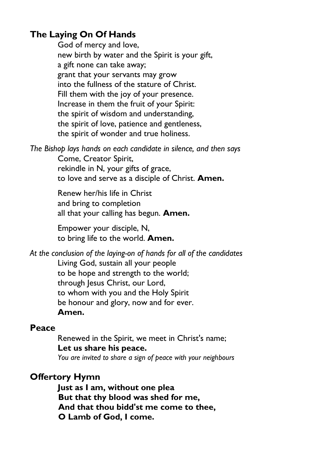#### **The Laying On Of Hands**

God of mercy and love, new birth by water and the Spirit is your gift, a gift none can take away; grant that your servants may grow into the fullness of the stature of Christ. Fill them with the joy of your presence. Increase in them the fruit of your Spirit: the spirit of wisdom and understanding, the spirit of love, patience and gentleness, the spirit of wonder and true holiness.

*The Bishop lays hands on each candidate in silence, and then says*  Come, Creator Spirit, rekindle in N, your gifts of grace, to love and serve as a disciple of Christ. **Amen.**

> Renew her/his life in Christ and bring to completion all that your calling has begun. **Amen.**

Empower your disciple, N, to bring life to the world. **Amen.**

*At the conclusion of the laying-on of hands for all of the candidates* 

Living God, sustain all your people to be hope and strength to the world; through Jesus Christ, our Lord, to whom with you and the Holy Spirit be honour and glory, now and for ever. **Amen.**

#### **Peace**

Renewed in the Spirit, we meet in Christ's name; **Let us share his peace.** *You are invited to share a sign of peace with your neighbours*

#### **Offertory Hymn**

**Just as I am, without one plea But that thy blood was shed for me, And that thou bidd'st me come to thee, O Lamb of God, I come.**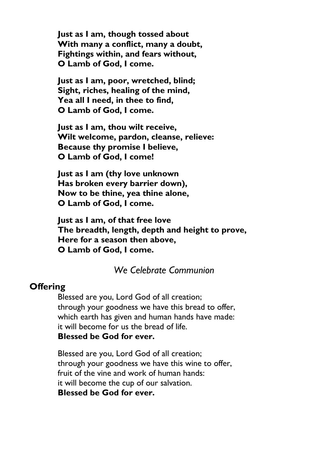**Just as I am, though tossed about With many a conflict, many a doubt, Fightings within, and fears without, O Lamb of God, I come.**

**Just as I am, poor, wretched, blind; Sight, riches, healing of the mind, Yea all I need, in thee to find, O Lamb of God, I come.**

**Just as I am, thou wilt receive, Wilt welcome, pardon, cleanse, relieve: Because thy promise I believe, O Lamb of God, I come!** 

**Just as I am (thy love unknown Has broken every barrier down), Now to be thine, yea thine alone, O Lamb of God, I come.**

**Just as I am, of that free love The breadth, length, depth and height to prove, Here for a season then above, O Lamb of God, I come.** 

*We Celebrate Communion*

#### **Offering**

Blessed are you, Lord God of all creation; through your goodness we have this bread to offer, which earth has given and human hands have made: it will become for us the bread of life. **Blessed be God for ever.**

Blessed are you, Lord God of all creation; through your goodness we have this wine to offer, fruit of the vine and work of human hands: it will become the cup of our salvation. **Blessed be God for ever.**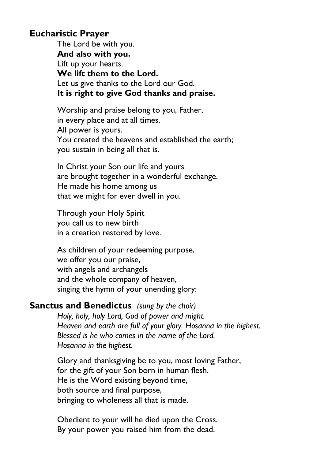#### **Eucharistic Prayer**

The Lord be with you. **And also with you.** Lift up your hearts. **We lift them to the Lord.** Let us give thanks to the Lord our God. **It is right to give God thanks and praise.**

Worship and praise belong to you, Father, in every place and at all times. All power is yours. You created the heavens and established the earth; you sustain in being all that is.

In Christ your Son our life and yours are brought together in a wonderful exchange. He made his home among us that we might for ever dwell in you.

Through your Holy Spirit you call us to new birth in a creation restored by love.

As children of your redeeming purpose, we offer you our praise, with angels and archangels and the whole company of heaven, singing the hymn of your unending glory:

#### **Sanctus and Benedictus** *(sung by the choir)*

*Holy, holy, holy Lord, God of power and might. Heaven and earth are full of your glory. Hosanna in the highest. Blessed is he who comes in the name of the Lord. Hosanna in the highest.*

Glory and thanksgiving be to you, most loving Father, for the gift of your Son born in human flesh. He is the Word existing beyond time, both source and final purpose, bringing to wholeness all that is made.

Obedient to your will he died upon the Cross. By your power you raised him from the dead.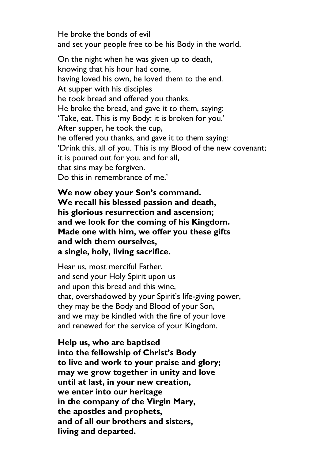He broke the bonds of evil and set your people free to be his Body in the world.

On the night when he was given up to death, knowing that his hour had come, having loved his own, he loved them to the end. At supper with his disciples he took bread and offered you thanks. He broke the bread, and gave it to them, saying: 'Take, eat. This is my Body: it is broken for you.' After supper, he took the cup, he offered you thanks, and gave it to them saying: 'Drink this, all of you. This is my Blood of the new covenant; it is poured out for you, and for all, that sins may be forgiven. Do this in remembrance of me.'

**We now obey your Son's command. We recall his blessed passion and death, his glorious resurrection and ascension; and we look for the coming of his Kingdom. Made one with him, we offer you these gifts and with them ourselves, a single, holy, living sacrifice.**

Hear us, most merciful Father, and send your Holy Spirit upon us and upon this bread and this wine, that, overshadowed by your Spirit's life-giving power, they may be the Body and Blood of your Son, and we may be kindled with the fire of your love and renewed for the service of your Kingdom.

**Help us, who are baptised into the fellowship of Christ's Body to live and work to your praise and glory; may we grow together in unity and love until at last, in your new creation, we enter into our heritage in the company of the Virgin Mary, the apostles and prophets, and of all our brothers and sisters, living and departed.**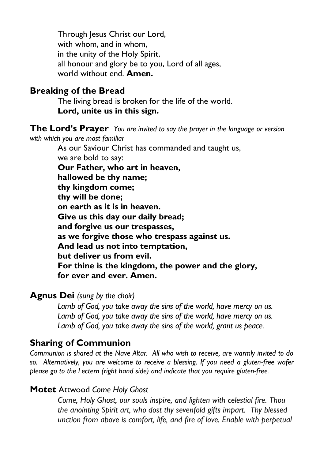Through Jesus Christ our Lord, with whom, and in whom, in the unity of the Holy Spirit, all honour and glory be to you, Lord of all ages, world without end. **Amen.**

#### **Breaking of the Bread**

The living bread is broken for the life of the world. **Lord, unite us in this sign.**

**The Lord's Prayer** *You are invited to say the prayer in the language or version with which you are most familiar*

As our Saviour Christ has commanded and taught us, we are bold to say: **Our Father, who art in heaven, hallowed be thy name; thy kingdom come; thy will be done; on earth as it is in heaven. Give us this day our daily bread; and forgive us our trespasses, as we forgive those who trespass against us. And lead us not into temptation, but deliver us from evil. For thine is the kingdom, the power and the glory, for ever and ever. Amen.**

#### **Agnus Dei** *(sung by the choir)*

*Lamb of God, you take away the sins of the world, have mercy on us. Lamb of God, you take away the sins of the world, have mercy on us. Lamb of God, you take away the sins of the world, grant us peace.*

#### **Sharing of Communion**

*Communion is shared at the Nave Altar. All who wish to receive, are warmly invited to do so. Alternatively, you are welcome to receive a blessing. If you need a gluten-free wafer please go to the Lectern (right hand side) and indicate that you require gluten-free.* 

#### **Motet** Attwood *Come Holy Ghost*

*Come, Holy Ghost, our souls inspire, and lighten with celestial fire. Thou the anointing Spirit art, who dost thy sevenfold gifts impart. Thy blessed unction from above is comfort, life, and fire of love. Enable with perpetual*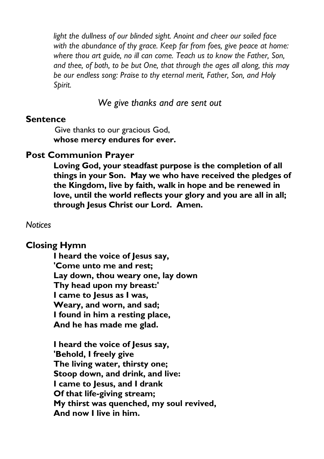*light the dullness of our blinded sight. Anoint and cheer our soiled face with the abundance of thy grace. Keep far from foes, give peace at home: where thou art guide, no ill can come. Teach us to know the Father, Son, and thee, of both, to be but One, that through the ages all along, this may be our endless song: Praise to thy eternal merit, Father, Son, and Holy Spirit.* 

*We give thanks and are sent out*

#### **Sentence**

Give thanks to our gracious God, **whose mercy endures for ever.**

#### **Post Communion Prayer**

**Loving God, your steadfast purpose is the completion of all things in your Son. May we who have received the pledges of the Kingdom, live by faith, walk in hope and be renewed in love, until the world reflects your glory and you are all in all; through Jesus Christ our Lord. Amen.**

*Notices* 

#### **Closing Hymn**

**I heard the voice of Jesus say, 'Come unto me and rest; Lay down, thou weary one, lay down Thy head upon my breast:' I came to Jesus as I was, Weary, and worn, and sad; I found in him a resting place, And he has made me glad.**

**I heard the voice of Jesus say, 'Behold, I freely give The living water, thirsty one; Stoop down, and drink, and live: I came to Jesus, and I drank Of that life-giving stream; My thirst was quenched, my soul revived, And now I live in him.**